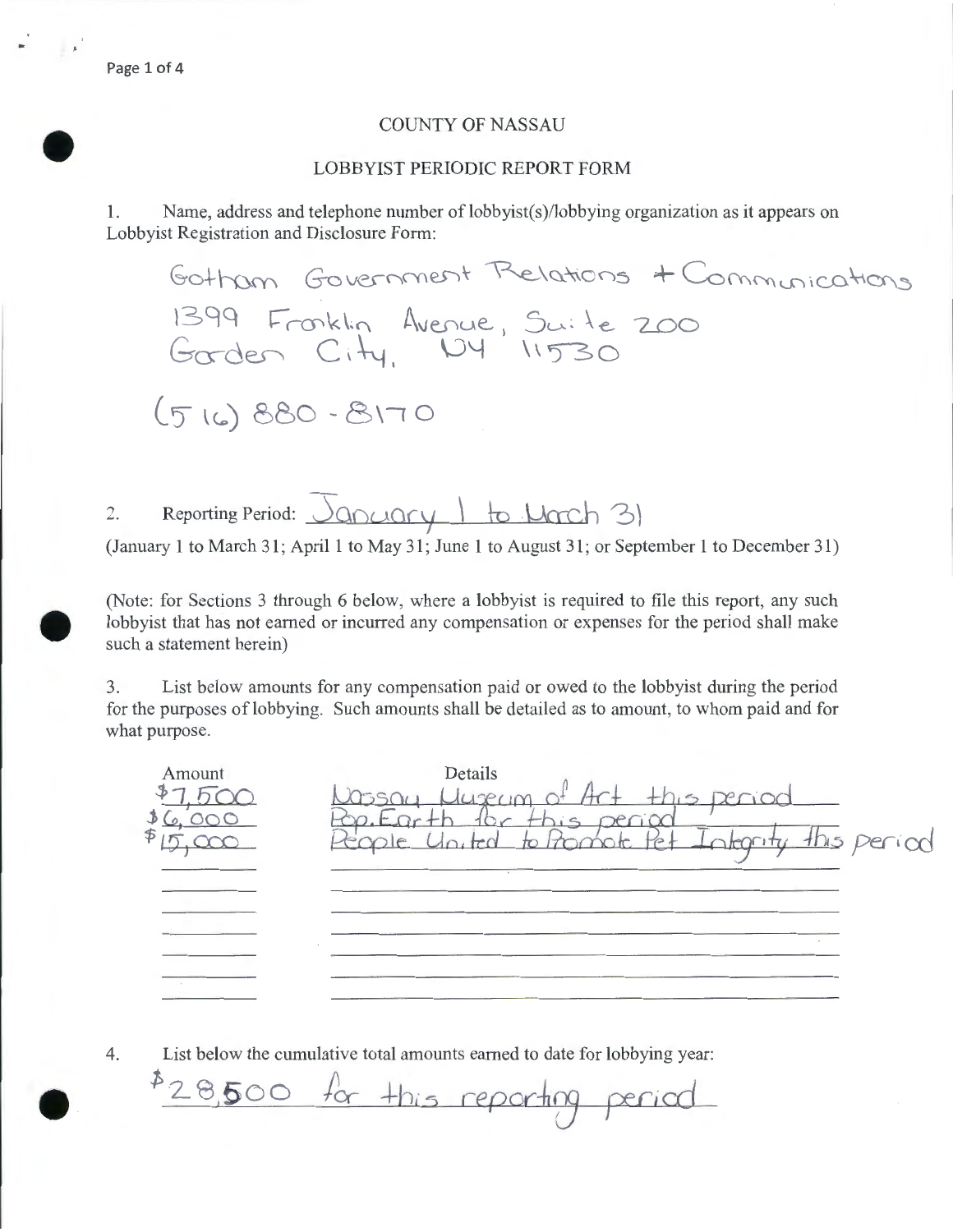## COUNTY OF NASSAU

## LOBBYIST PERIODIC REPORT FORM

• 1. Name, address and telephone number of lobbyist(s)/lobbying organization as it appears on Lobbyist Registration and Disclosure Form:

Gotham Government Relations + Communications 1399 Fronklin Avenue, Suite 200 Gorden City, 104 11530  $(516)880 - 8170$ 

2. Reporting Period:  $\sqrt{200\mu\gamma + 6\mu\alpha}$ 

(January 1 to March 31; April 1 to May 31; June 1 to August 31; or September 1 to December 31)

(Note: for Sections 3 through 6 below, where a lobbyist is required to file this report, any such lobbyist that has not earned or incurred any compensation or expenses for the period shall make such a statement herein)

 $\bullet$ 3. List below amounts for any compensation paid or owed to the lobbyist during the period for the purposes of lobbying. Such amounts shall be detailed as to amount, to whom paid and for what purpose.

Details Amount Vassay Huseyn  $Ar+$  this period  $.500$ <br> $3(0.000)$ Rop. Earth for t his period otherity this period Promote Pet 15,000 People Youted

• 4. List below the cumulative total amounts earned to date for lobbying year:

1> 2\_ 8,5 <sup>0</sup>0 *flex-* +b, *5* cepodf5 <sup>J</sup> *cer;cd*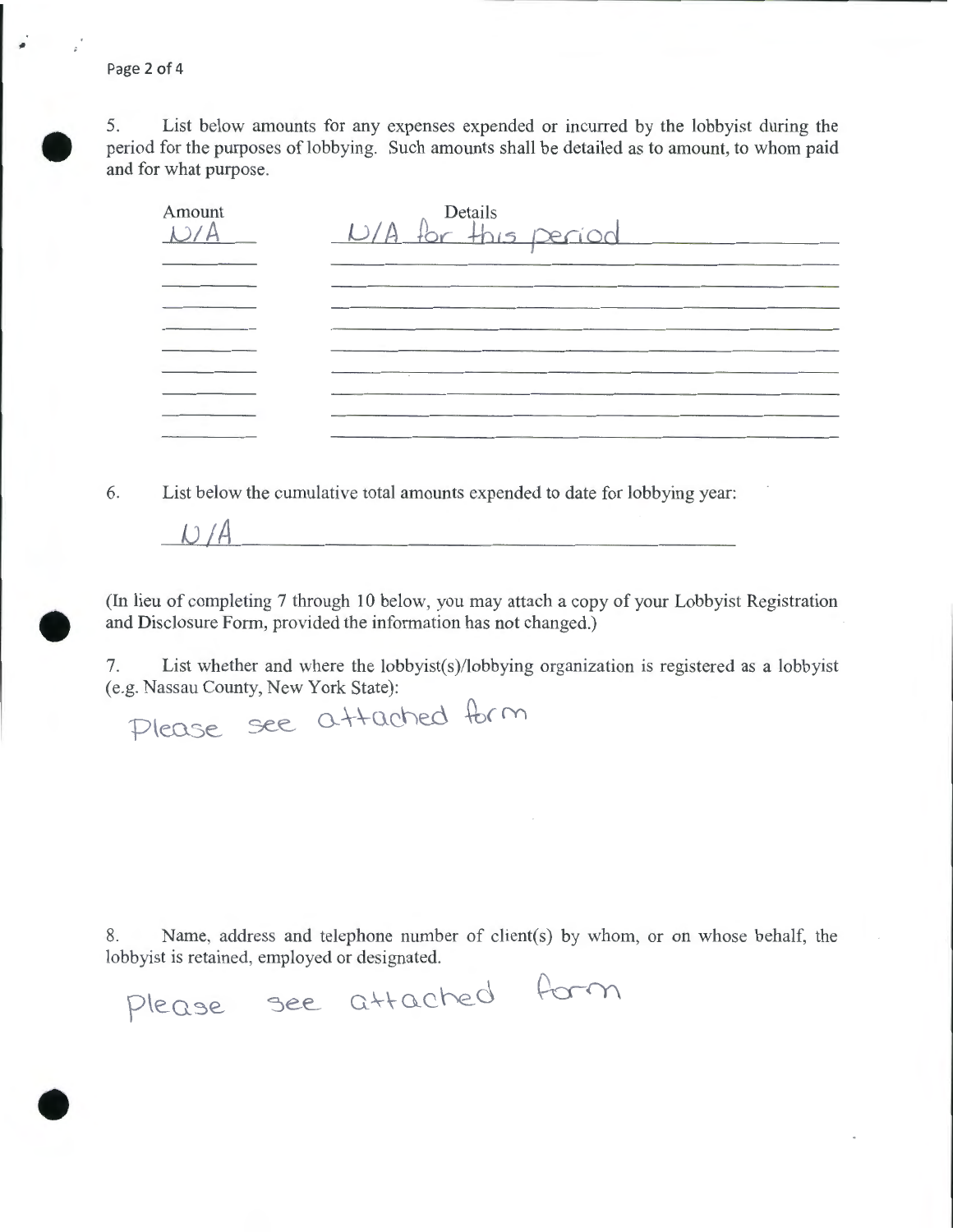Page 2 of 4

u *A* 



•

5. List below amounts for any expenses expended or incurred by the lobbyist during the period for the purposes of lobbying. Such amounts shall be detailed as to amount, to whom paid and for what purpose.

| Amount | Details<br>$L/A$ for this period |
|--------|----------------------------------|
|        |                                  |
|        |                                  |
|        |                                  |
|        |                                  |
|        |                                  |
|        |                                  |
|        |                                  |

6. List below the cumulative total amounts expended to date for lobbying year:

• (In lieu of completing 7 through 10 below, you may attach a copy of your Lobbyist Registration and Disclosure Form, provided the information has not changed.)

7. List whether and where the lobbyist(s)/lobbying organization is registered as a lobbyist (e.g. Nassau County, New York State):

Please see attached form

8. Name, address and telephone number of client(s) by whom, or on whose behalf, the lobbyist is retained, employed or designated.<br>Please see attached form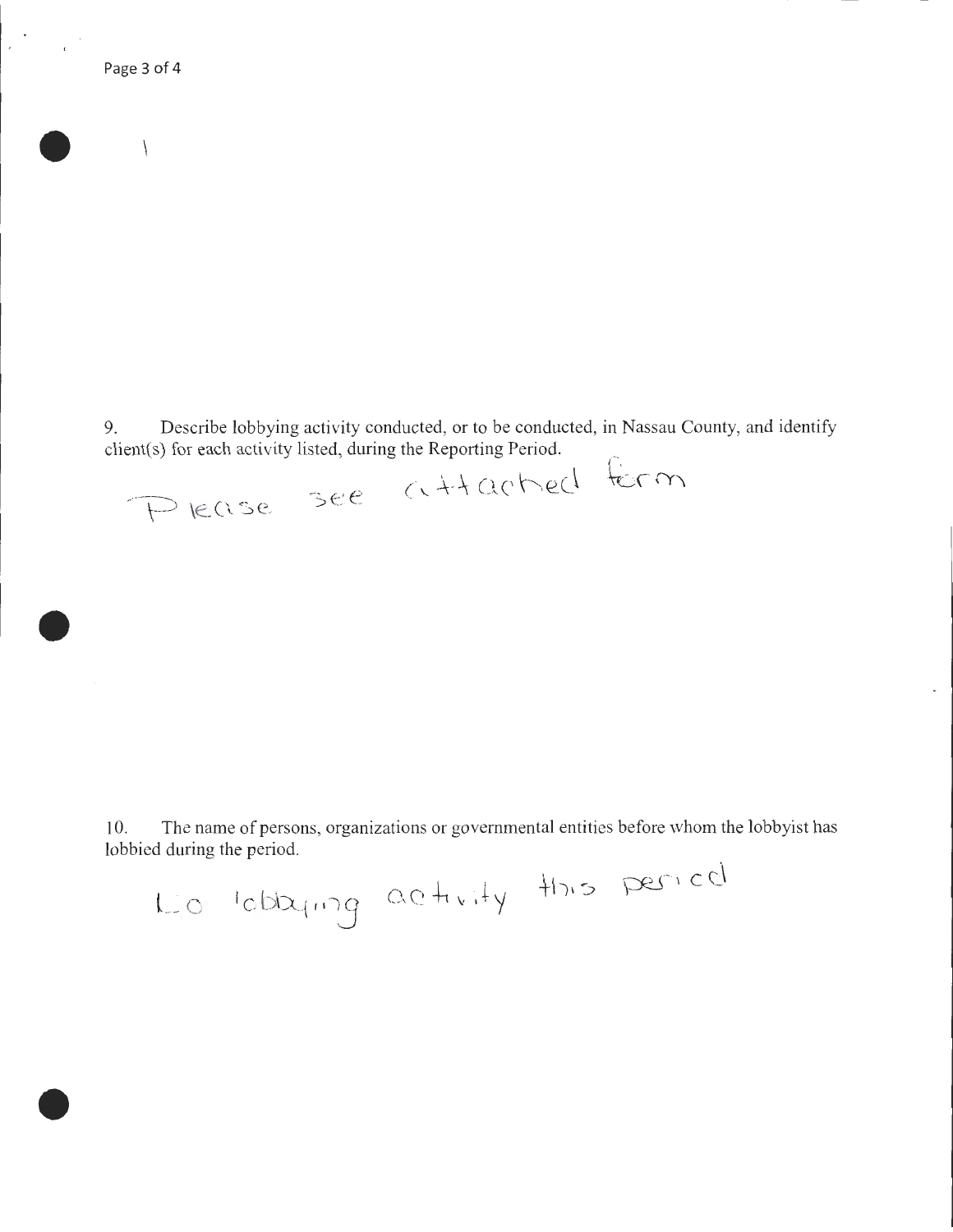$\overline{\phantom{0}}$ 

•

•

•

9. Describe lobbying activity conducted, or to be conducted, in Nassau County, and identify client(s) for each activity listed, during the Reporting Period.

Please see attached form

10. The name of persons, organizations or governmental entities before whom the lobbyist has lobbied during the period.

Lio lobaring activity this period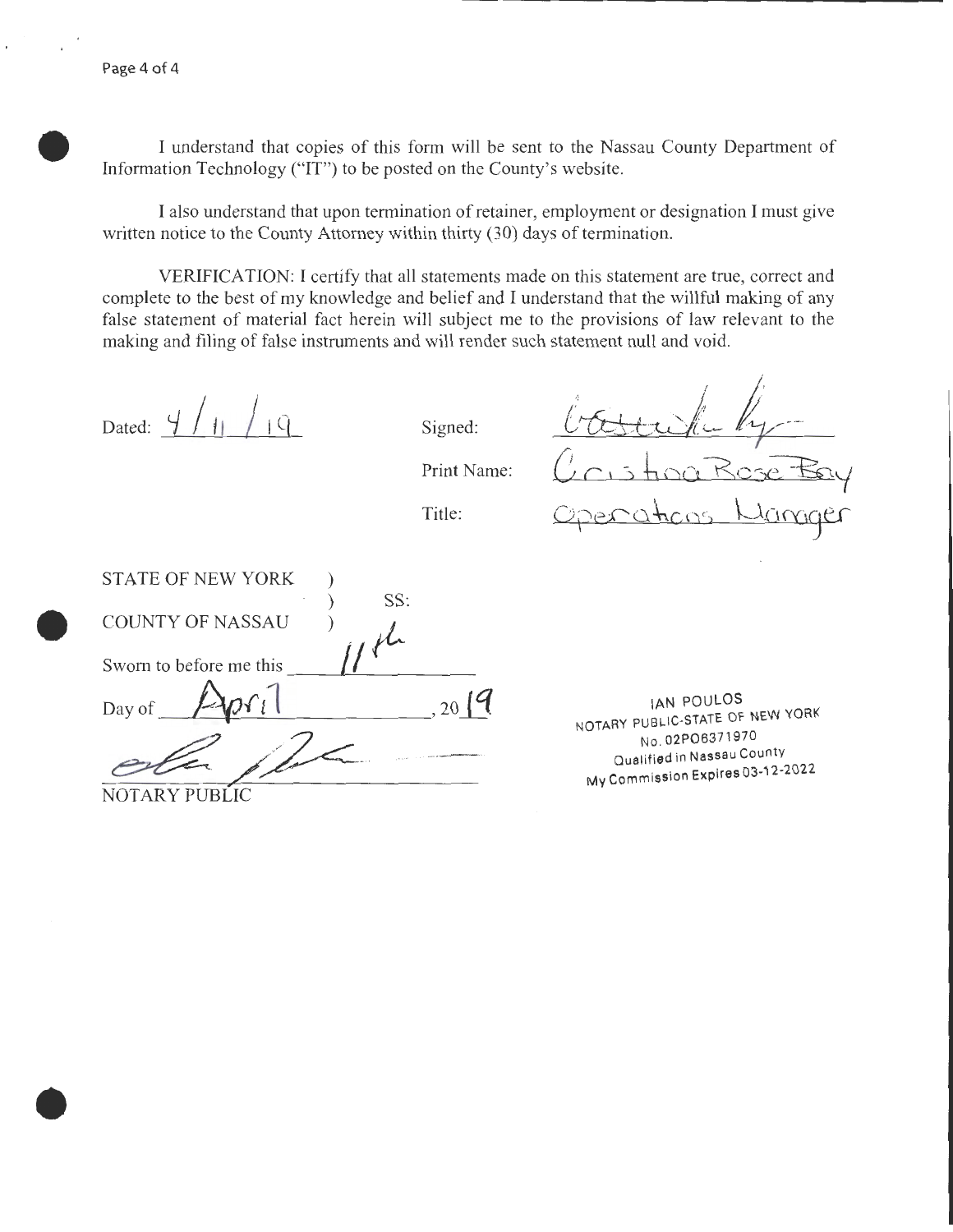$\bullet$ I understand that copies of this form will be sent to the Nassau County Department of Information Technology ("IT") to be posted on the County's website.

I also understand that upon termination of retainer, employment or designation I must give written notice to the County Attorney within thirty (30) days of termination.

VERIFICATION: I certify that all statements made on this statement are true, correct and complete to the best of my knowledge and belief and I understand that the willful making of any false statement of material fact herein will subject me to the provisions of law relevant to the making and filing of false instruments and will render such statement null and void.

Dated:  $4/11/19$  Signed:

•

Print Name:

Title:

bastuk by -Operations Womger

 $\bullet$ STATE OF NEW YORK ) SS: ) *,-;tL* Sworn to before me this -----L~---------- COUNTY OF NASSAU Day of  $\sqrt{2\rho r_l}$  , 20<sup>19</sup> NOTARY PUBLIC

IAN POULOS NOTARY PUBLIC-STATE OF NEW YORK No. 02P06371 97 0 Qualified in Nassau County MV Commission Expires 03·12-2022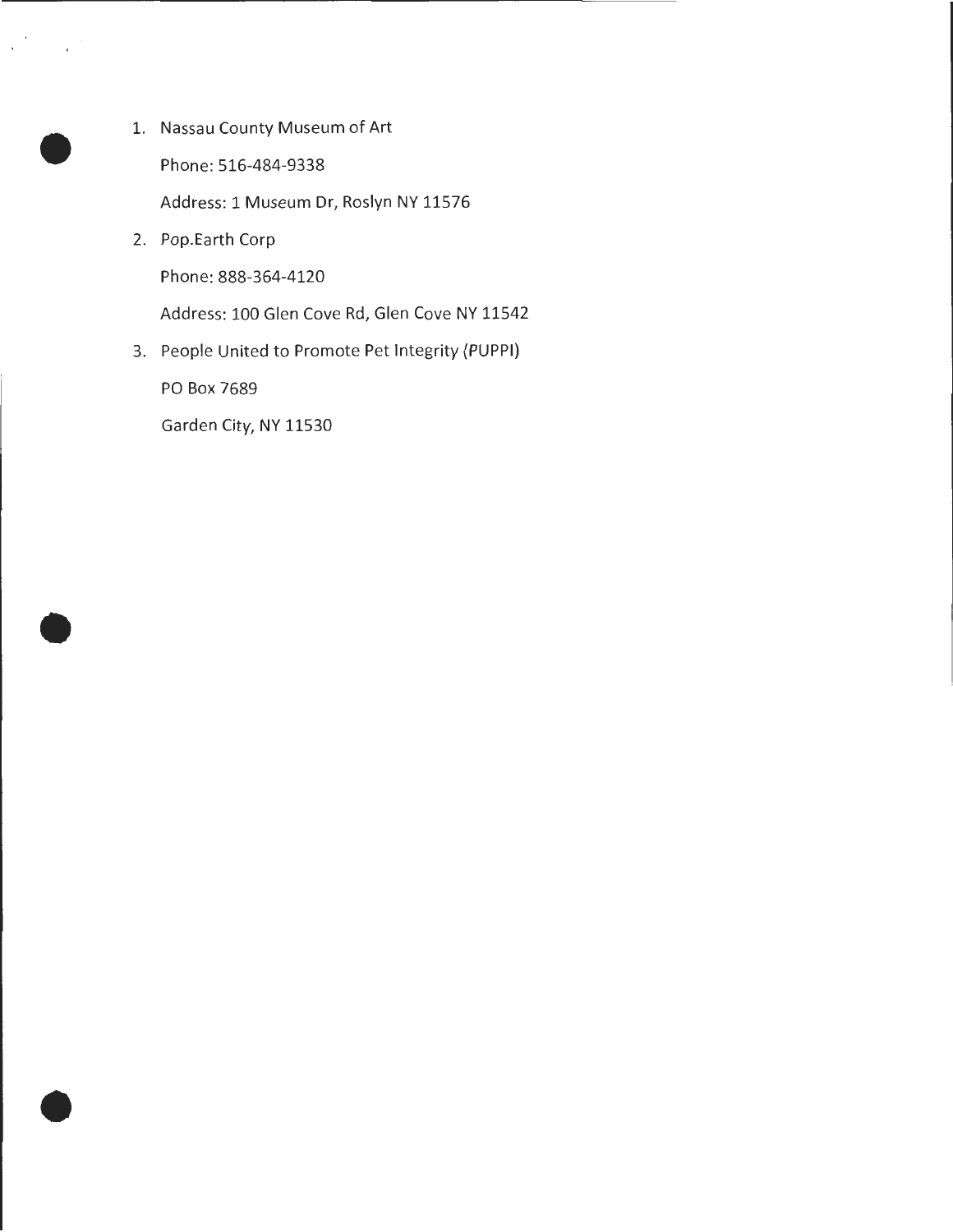- 1. Nassau County Museum of Art Phone: 516-484-9338 Address: 1 Museum Dr, Roslyn NY 11576
- 2. Pop.Earth Corp

•

•

•

Phone: 888-364-4120

Address: 100 Glen Cove Rd, Glen Cove NY 11542

3. People United to Promote Pet Integrity {PUPPI)

PO Box 7689

Garden City, NY 11530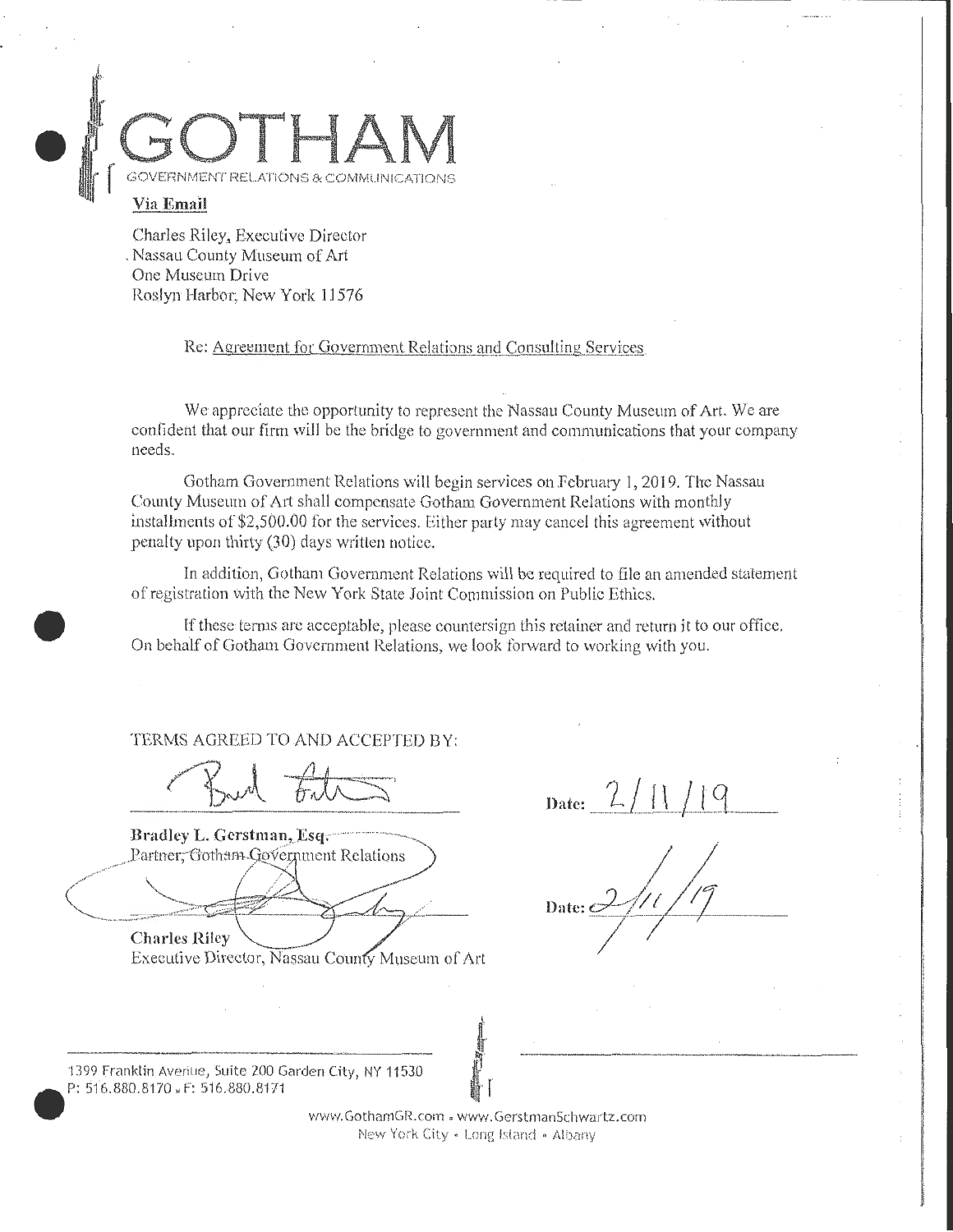

## **Via Email**

•

•

Charles Riley, Executive Director , Nassau County Museum of Art One Museum Drive Roslyn Harbor; New York 11576

Re: Agreement for Government Relations and Consulting Services.

We appreciate the opportunity to represent the Nassau County Museum of Art. We are confident that our firm will be the bridge to government and communications that your company needs.

Gotham Government Relations will begin services on February 1, 2019. The Nassau County Museum of Art shall compensate Gotham Government Relations with monthly installments of \$2,500.00 for the services. Either party may cancel this agreement without penalty upon thirty (30) days written notice.

In addition, Gotham Government Relations will be required to file an amended statement of registration \vith the New York State Joint Commission on Public Ethics .

If these terms are acceptable, please countersign this retainer and return it to our office. On behalf of Gotham Government Relations, we look forward to working with you.

TERMS AGREED TO AND ACCEPTED BY:

Bradley L. Gerstman, Esq. Partner, Gotham Government Relations

 $_{\text{Date:}}$  2/11/19

Date:  $\mathbb C$ 

**Charles Riley** Executive Director, Nassau County Museum of Art

1399 franklin Averiue, Suite ZOO Garden City, NY 115.30 P: 516.880.8170. F: 516.880.8'171

> www.GothamGR.com . www.GcrstmanSchwartz.com New York City • Long Island • Albany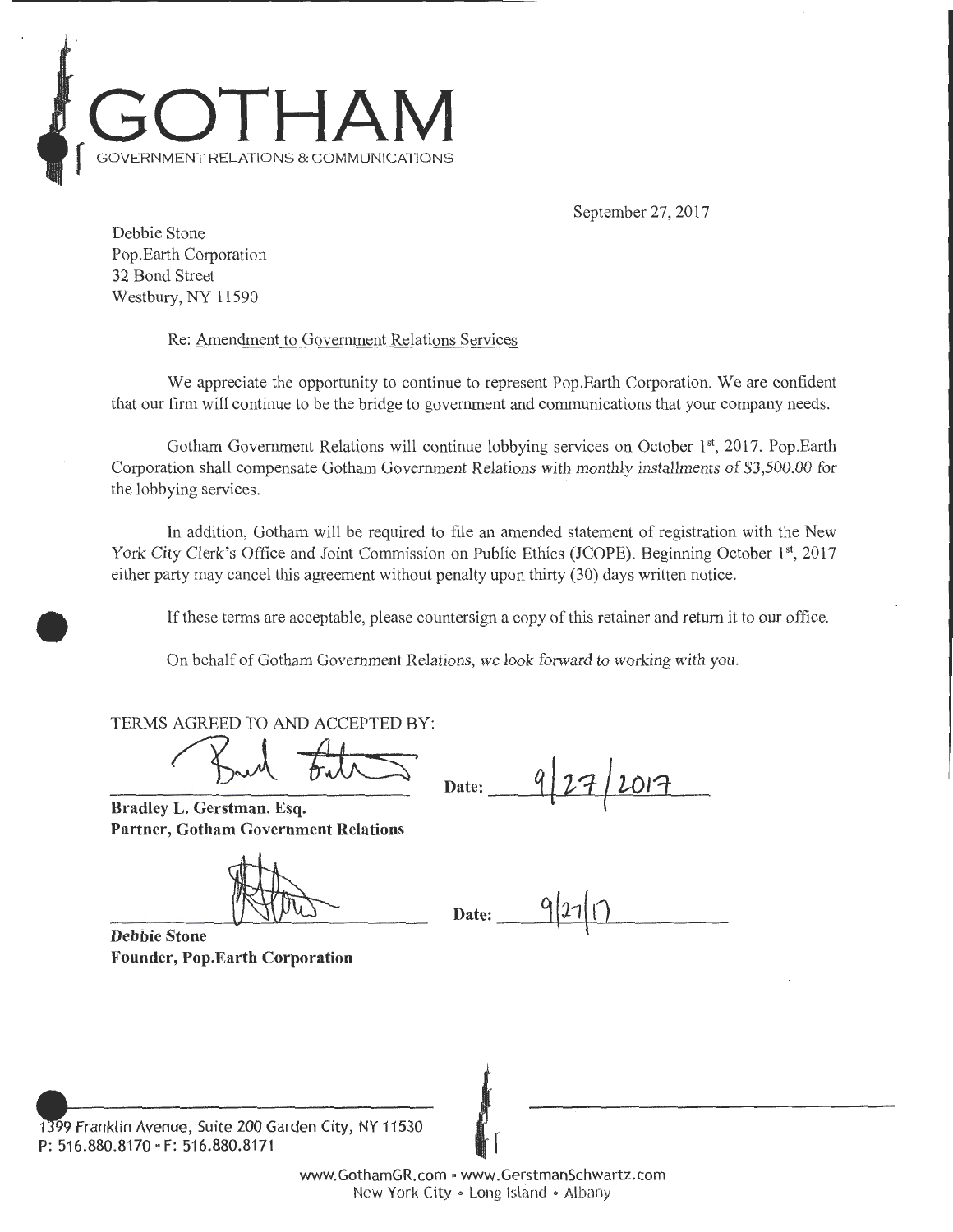

September 27, 2017

Debbie Stone Pop.Earth Corporation 32 Bond Street Westbury, NY 11590

•

Re: Amendment to Government Relations Services

We appreciate the opportunity to continue to represent Pop.Earth Corporation. We are confident that our firm will continue to be the bridge to government and communications that your company needs.

Gotham Government Relations will continue lobbying services on October 1<sup>st</sup>, 2017. Pop.Earth Corporation shall compensate Gotham Government Relations with monthly installments of \$3,500.00 for the lobbying services.

In addition, Gotham will be required to file an amended statement of registration with the New York City Clerk's Office and Joint Commission on Public Ethics (JCOPE). Beginning October 1st, 2017 either party may cancel this agreement without penalty upon thirty (30) days written notice.

If these terms are acceptable, please countersign a copy of this retainer and return it to our office .

On behalf of Gotham Government Relations, we look forward to working with you.

TERMS AGREED TO AND ACCEPTED BY:

AGREED TO AND ACCEPTED BY:<br>Bull Full Date: 9 27 2017

Bradley L. Gerstman. Esq. Partner, Gotham Government Relations

 $\text{Date:}$  9/27/17

Debbie Stone Founder, Pop.Earth Corporation

1399 Franklin Avenue, Suite 200 Garden City, NY 11530 P: 516.880.8170 · F: 516.880.817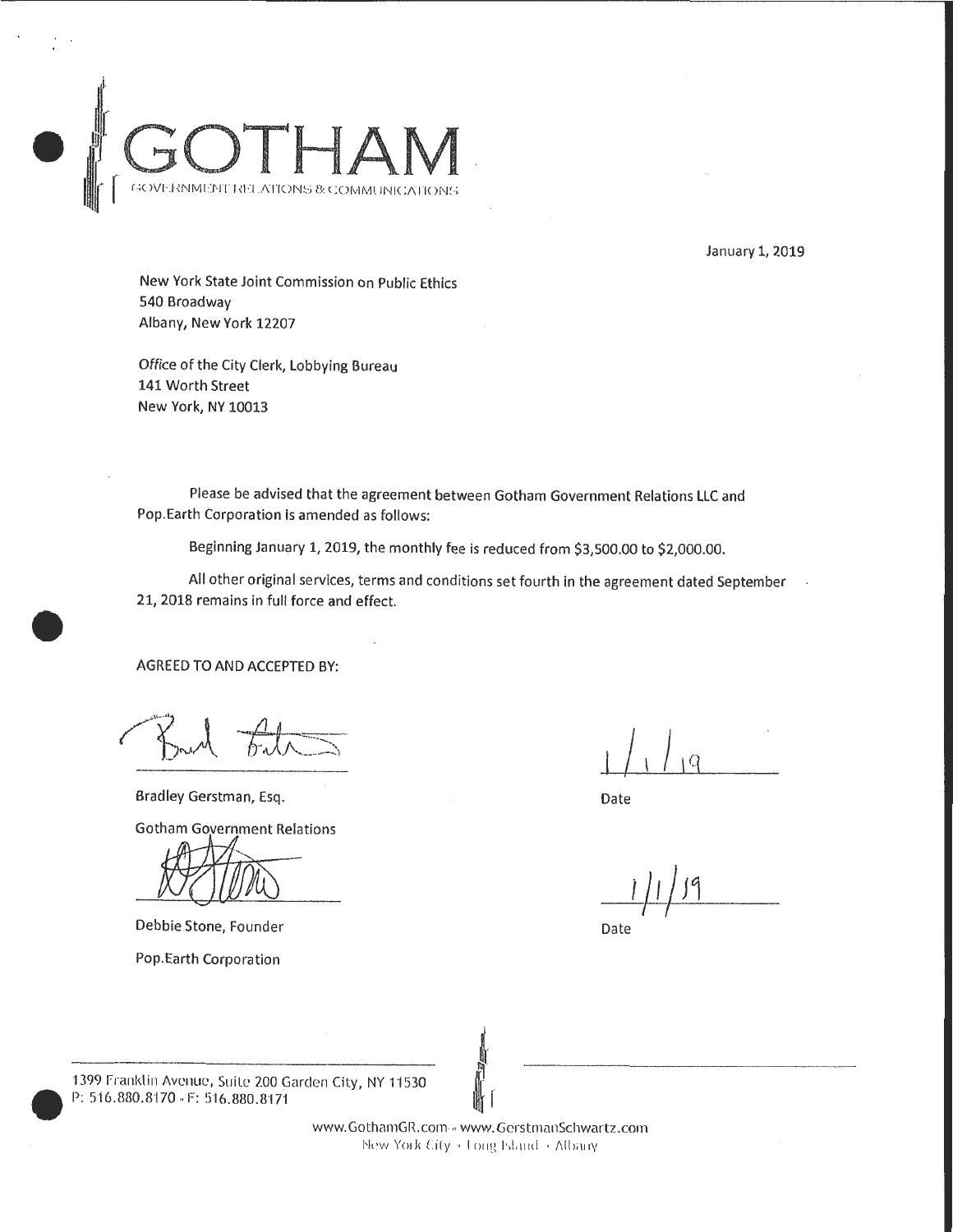

January 1, 2019

New York State Joint Commission on Public Ethics 540 Broadway Albany, New York 12207

Office of the City Clerk, lobbying Bureau 141 Worth Street New York, NY 10013

Please be advised that the agreement between Gotham Government Relations llC and Pop. Earth Corporation is amended as follows:

Beginning January 1, 2019, the monthly fee is reduced from \$3,500.00 to \$2,000.00.

All other original services, terms and conditions set fourth in the agreement dated September 21, 2018 remains in full force and effect.

AGREED TO AND ACCEPTED BY:

•

Bradley Gerstman, Esq.

**Gotham Government Relations** 

Debbie Stone, Founder

Pop.Earth Corporation

Date

 $1/1/9$ 

Date

1399<br>P: 5 1399 Franklin Avenue, Suite 200 Garden City, NY 11530 P: 516.880.8170 . F: 516.880.8171

www. GothamGR.com .. www. GerstmanSchwartz.com New York City ~ Long Island + Albany